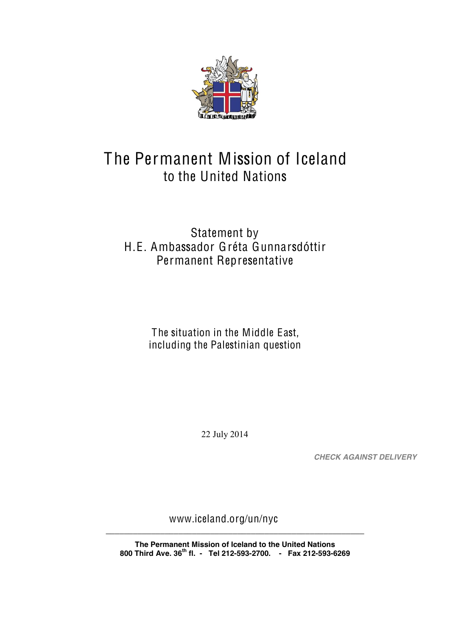

## The Permanent Mission of Iceland to the United Nations

## Statement by H.E. Ambassador Gréta Gunnarsdóttir Permanent Representative

The situation in the Middle East, including the Palestinian question

22 July 2014

**CHECK AGAINST DELIVERY** 

www.iceland.org/un/nyc

The Permanent Mission of Iceland to the United Nations 800 Third Ave. 36<sup>th</sup> fl. - Tel 212-593-2700. - Fax 212-593-6269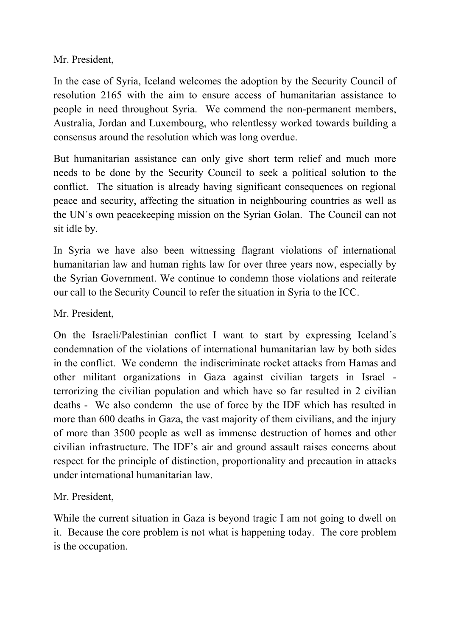Mr. President,

In the case of Syria, Iceland welcomes the adoption by the Security Council of resolution 2165 with the aim to ensure access of humanitarian assistance to people in need throughout Syria. We commend the non-permanent members, Australia, Jordan and Luxembourg, who relentlessy worked towards building a consensus around the resolution which was long overdue.

But humanitarian assistance can only give short term relief and much more needs to be done by the Security Council to seek a political solution to the conflict. The situation is already having significant consequences on regional peace and security, affecting the situation in neighbouring countries as well as the UN´s own peacekeeping mission on the Syrian Golan. The Council can not sit idle by.

In Syria we have also been witnessing flagrant violations of international humanitarian law and human rights law for over three years now, especially by the Syrian Government. We continue to condemn those violations and reiterate our call to the Security Council to refer the situation in Syria to the ICC.

Mr. President,

On the Israeli/Palestinian conflict I want to start by expressing Iceland´s condemnation of the violations of international humanitarian law by both sides in the conflict. We condemn the indiscriminate rocket attacks from Hamas and other militant organizations in Gaza against civilian targets in Israel terrorizing the civilian population and which have so far resulted in 2 civilian deaths - We also condemn the use of force by the IDF which has resulted in more than 600 deaths in Gaza, the vast majority of them civilians, and the injury of more than 3500 people as well as immense destruction of homes and other civilian infrastructure. The IDF's air and ground assault raises concerns about respect for the principle of distinction, proportionality and precaution in attacks under international humanitarian law.

Mr. President,

While the current situation in Gaza is beyond tragic I am not going to dwell on it. Because the core problem is not what is happening today. The core problem is the occupation.